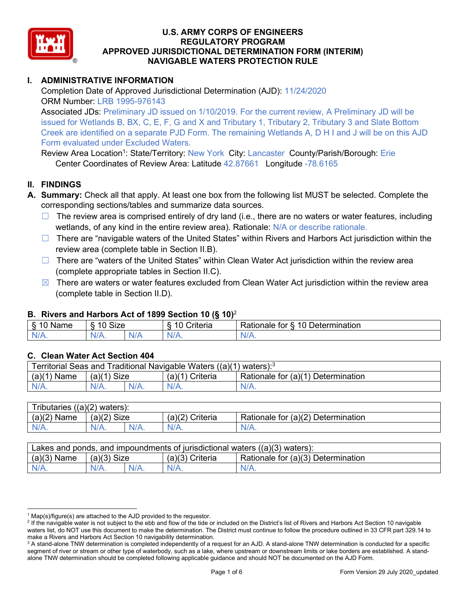

## **I. ADMINISTRATIVE INFORMATION**

Completion Date of Approved Jurisdictional Determination (AJD): 11/24/2020 ORM Number: LRB 1995-976143

Associated JDs: Preliminary JD issued on 1/10/2019. For the current review, A Preliminary JD will be issued for Wetlands B, BX, C, E, F, G and X and Tributary 1, Tributary 2, Tributary 3 and Slate Bottom Creek are identified on a separate PJD Form. The remaining Wetlands A, D H I and J will be on this AJD Form evaluated under Excluded Waters.

Review Area Location<sup>1</sup>: State/Territory: <mark>Ne</mark>w York City: Lancaster County/Parish/Borough: Erie Center Coordinates of Review Area: Latitude 42.87661 Longitude -78.6165

#### **II. FINDINGS**

- **A. Summary:** Check all that apply. At least one box from the following list MUST be selected. Complete the corresponding sections/tables and summarize data sources.
	- $\Box$  The review area is comprised entirely of dry land (i.e., there are no waters or water features, including wetlands, of any kind in the entire review area). Rationale: N/A or describe rationale.
	- □ There are "navigable waters of the United States" within Rivers and Harbors Act jurisdiction within the review area (complete table in Section II.B).
	- ☐ There are "waters of the United States" within Clean Water Act jurisdiction within the review area (complete appropriate tables in Section II.C).
	- $\boxtimes$  There are waters or water features excluded from Clean Water Act jurisdiction within the review area (complete table in Section II.D).

## **B. Rivers and Harbors Act of 1899 Section 10 (§ 10)**<sup>2</sup>

| Name<br>⇘ | <b>Size</b><br>$\sim$<br>- |     | Criteria    | 10<br>Determination<br>tor<br>≺atıonale<br>$\sim$ |
|-----------|----------------------------|-----|-------------|---------------------------------------------------|
| NI/       | $N/A$ .                    | NJ. | N/r<br>w. 1 | ,,,,,,                                            |

## **C. Clean Water Act Section 404**

| <b>Territorial Seas and</b><br>I Traditional Navigable Waters ((a)(1)<br>waters): <sup>3</sup> |               |  |                    |                                    |  |  |
|------------------------------------------------------------------------------------------------|---------------|--|--------------------|------------------------------------|--|--|
| (a)(1)<br>Name                                                                                 | Size<br>(a)(1 |  | (a)(1)<br>Criteria | Rationale for (a)(1) Determination |  |  |
|                                                                                                | $N/A$ .       |  | N/A.               | $N/A$ .                            |  |  |

| Tributaries $((a)(2)$ waters): |               |         |                    |                                    |  |  |  |
|--------------------------------|---------------|---------|--------------------|------------------------------------|--|--|--|
| $(a)(2)$ Name                  | $(a)(2)$ Size |         | (a)(2)<br>Criteria | Rationale for (a)(2) Determination |  |  |  |
| $N/A$ .                        | $N/A$ .       | $N/A$ . |                    | N/A.                               |  |  |  |

| Lakes and ponds, and impoundments of jurisdictional waters $((a)(3)$ waters): |               |         |                   |                                    |  |  |
|-------------------------------------------------------------------------------|---------------|---------|-------------------|------------------------------------|--|--|
| $(a)(3)$ Name                                                                 | $(a)(3)$ Size |         | $(a)(3)$ Criteria | Rationale for (a)(3) Determination |  |  |
| $N/A$ .                                                                       | $N/A$ .       | $N/A$ . | N/A               | $N/A$ .                            |  |  |

 $1$  Map(s)/figure(s) are attached to the AJD provided to the requestor.

<sup>&</sup>lt;sup>2</sup> If the navigable water is not subject to the ebb and flow of the tide or included on the District's list of Rivers and Harbors Act Section 10 navigable waters list, do NOT use this document to make the determination. The District must continue to follow the procedure outlined in 33 CFR part 329.14 to make a Rivers and Harbors Act Section 10 navigability determination.

<sup>&</sup>lt;sup>3</sup> A stand-alone TNW determination is completed independently of a request for an AJD. A stand-alone TNW determination is conducted for a specific segment of river or stream or other type of waterbody, such as a lake, where upstream or downstream limits or lake borders are established. A standalone TNW determination should be completed following applicable guidance and should NOT be documented on the AJD Form.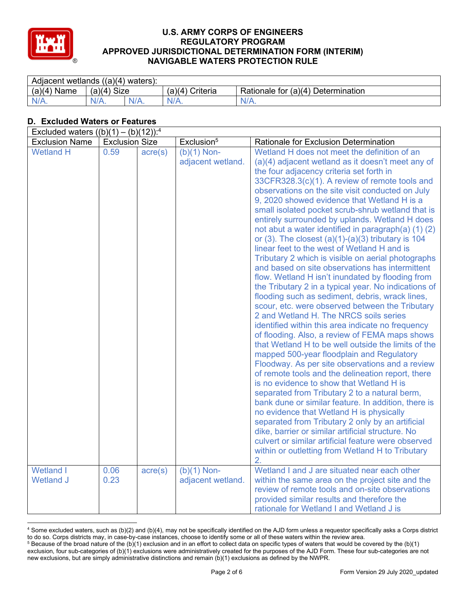

| Adjacent wetlands $((a)(4)$ waters): |                |         |                     |                                    |  |  |
|--------------------------------------|----------------|---------|---------------------|------------------------------------|--|--|
| $(a)(4)$ Name                        | Size<br>(a)(4) |         | Criteria<br>(a)(4)' | Rationale for (a)(4) Determination |  |  |
| $N/A$ .                              | $N/A$ .        | $N/A$ . | $N/A$ .             | $N/A$ .                            |  |  |

# **D. Excluded Waters or Features**

| Excluded waters $((b)(1) - (b)(12))$ : <sup>4</sup> |                       |                  |                                    |                                                                                                                                                                                                                                                                                                                                                                                                                                                                                                                                                                                                                                                                                                                                                                                                                                                                                                                                                                                                                                                                                                                                                                                                                                                                                                                                                                                                                                                                                                                                                                                                                                                                                              |  |  |  |  |
|-----------------------------------------------------|-----------------------|------------------|------------------------------------|----------------------------------------------------------------------------------------------------------------------------------------------------------------------------------------------------------------------------------------------------------------------------------------------------------------------------------------------------------------------------------------------------------------------------------------------------------------------------------------------------------------------------------------------------------------------------------------------------------------------------------------------------------------------------------------------------------------------------------------------------------------------------------------------------------------------------------------------------------------------------------------------------------------------------------------------------------------------------------------------------------------------------------------------------------------------------------------------------------------------------------------------------------------------------------------------------------------------------------------------------------------------------------------------------------------------------------------------------------------------------------------------------------------------------------------------------------------------------------------------------------------------------------------------------------------------------------------------------------------------------------------------------------------------------------------------|--|--|--|--|
| <b>Exclusion Name</b>                               | <b>Exclusion Size</b> |                  | Exclusion <sup>5</sup>             | Rationale for Exclusion Determination                                                                                                                                                                                                                                                                                                                                                                                                                                                                                                                                                                                                                                                                                                                                                                                                                                                                                                                                                                                                                                                                                                                                                                                                                                                                                                                                                                                                                                                                                                                                                                                                                                                        |  |  |  |  |
| <b>Wetland H</b>                                    | 0.59                  | acre(s)          | $(b)(1)$ Non-<br>adjacent wetland. | Wetland H does not meet the definition of an<br>(a)(4) adjacent wetland as it doesn't meet any of<br>the four adjacency criteria set forth in<br>33CFR328.3(c)(1). A review of remote tools and<br>observations on the site visit conducted on July<br>9, 2020 showed evidence that Wetland H is a<br>small isolated pocket scrub-shrub wetland that is<br>entirely surrounded by uplands. Wetland H does<br>not abut a water identified in paragraph(a) (1) (2)<br>or $(3)$ . The closest $(a)(1)-(a)(3)$ tributary is 104<br>linear feet to the west of Wetland H and is<br>Tributary 2 which is visible on aerial photographs<br>and based on site observations has intermittent<br>flow. Wetland H isn't inundated by flooding from<br>the Tributary 2 in a typical year. No indications of<br>flooding such as sediment, debris, wrack lines,<br>scour, etc. were observed between the Tributary<br>2 and Wetland H. The NRCS soils series<br>identified within this area indicate no frequency<br>of flooding. Also, a review of FEMA maps shows<br>that Wetland H to be well outside the limits of the<br>mapped 500-year floodplain and Regulatory<br>Floodway. As per site observations and a review<br>of remote tools and the delineation report, there<br>is no evidence to show that Wetland H is<br>separated from Tributary 2 to a natural berm,<br>bank dune or similar feature. In addition, there is<br>no evidence that Wetland H is physically<br>separated from Tributary 2 only by an artificial<br>dike, barrier or similar artificial structure. No<br>culvert or similar artificial feature were observed<br>within or outletting from Wetland H to Tributary<br>2. |  |  |  |  |
| <b>Wetland I</b><br><b>Wetland J</b>                | 0.06<br>0.23          | $\text{acre}(s)$ | $(b)(1)$ Non-<br>adjacent wetland. | Wetland I and J are situated near each other<br>within the same area on the project site and the<br>review of remote tools and on-site observations<br>provided similar results and therefore the<br>rationale for Wetland I and Wetland J is                                                                                                                                                                                                                                                                                                                                                                                                                                                                                                                                                                                                                                                                                                                                                                                                                                                                                                                                                                                                                                                                                                                                                                                                                                                                                                                                                                                                                                                |  |  |  |  |

<sup>4</sup> Some excluded waters, such as (b)(2) and (b)(4), may not be specifically identified on the AJD form unless a requestor specifically asks a Corps district to do so. Corps districts may, in case-by-case instances, choose to identify some or all of these waters within the review area.  $5$  Because of the broad nature of the (b)(1) exclusion and in an effort to collect data on specific types of waters that would be covered by the (b)(1)

exclusion, four sub-categories of (b)(1) exclusions were administratively created for the purposes of the AJD Form. These four sub-categories are not new exclusions, but are simply administrative distinctions and remain (b)(1) exclusions as defined by the NWPR.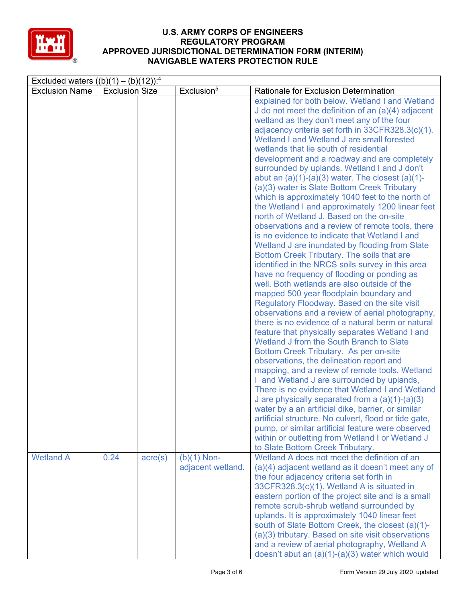

| Excluded waters $((b)(1) - (b)(12))$ : <sup>4</sup> |                       |                  |                                    |                                                                                                                                                                                                                                                                                                                                                                                                                                                                                                                                                                                                                                                                                                                                                                                                                                                                                                                                                                                                                                                                                                                                                                                                                                                                                                                                                                                                                                                                                                                                                                                                                                                                                                                                                                                                                                                |  |  |  |
|-----------------------------------------------------|-----------------------|------------------|------------------------------------|------------------------------------------------------------------------------------------------------------------------------------------------------------------------------------------------------------------------------------------------------------------------------------------------------------------------------------------------------------------------------------------------------------------------------------------------------------------------------------------------------------------------------------------------------------------------------------------------------------------------------------------------------------------------------------------------------------------------------------------------------------------------------------------------------------------------------------------------------------------------------------------------------------------------------------------------------------------------------------------------------------------------------------------------------------------------------------------------------------------------------------------------------------------------------------------------------------------------------------------------------------------------------------------------------------------------------------------------------------------------------------------------------------------------------------------------------------------------------------------------------------------------------------------------------------------------------------------------------------------------------------------------------------------------------------------------------------------------------------------------------------------------------------------------------------------------------------------------|--|--|--|
| <b>Exclusion Name</b>                               | <b>Exclusion Size</b> |                  | Exclusion <sup>5</sup>             | Rationale for Exclusion Determination                                                                                                                                                                                                                                                                                                                                                                                                                                                                                                                                                                                                                                                                                                                                                                                                                                                                                                                                                                                                                                                                                                                                                                                                                                                                                                                                                                                                                                                                                                                                                                                                                                                                                                                                                                                                          |  |  |  |
|                                                     |                       |                  |                                    | explained for both below. Wetland I and Wetland<br>J do not meet the definition of an $(a)(4)$ adjacent<br>wetland as they don't meet any of the four<br>adjacency criteria set forth in 33CFR328.3(c)(1).<br>Wetland I and Wetland J are small forested<br>wetlands that lie south of residential<br>development and a roadway and are completely<br>surrounded by uplands. Wetland I and J don't<br>abut an $(a)(1)-(a)(3)$ water. The closest $(a)(1)-$<br>(a)(3) water is Slate Bottom Creek Tributary<br>which is approximately 1040 feet to the north of<br>the Wetland I and approximately 1200 linear feet<br>north of Wetland J. Based on the on-site<br>observations and a review of remote tools, there<br>is no evidence to indicate that Wetland I and<br>Wetland J are inundated by flooding from Slate<br>Bottom Creek Tributary. The soils that are<br>identified in the NRCS soils survey in this area<br>have no frequency of flooding or ponding as<br>well. Both wetlands are also outside of the<br>mapped 500 year floodplain boundary and<br>Regulatory Floodway. Based on the site visit<br>observations and a review of aerial photography,<br>there is no evidence of a natural berm or natural<br>feature that physically separates Wetland I and<br>Wetland J from the South Branch to Slate<br>Bottom Creek Tributary. As per on-site<br>observations, the delineation report and<br>mapping, and a review of remote tools, Wetland<br>I and Wetland J are surrounded by uplands,<br>There is no evidence that Wetland I and Wetland<br>J are physically separated from a $(a)(1)-(a)(3)$<br>water by a an artificial dike, barrier, or similar<br>artificial structure. No culvert, flood or tide gate,<br>pump, or similar artificial feature were observed<br>within or outletting from Wetland I or Wetland J |  |  |  |
|                                                     |                       |                  |                                    | to Slate Bottom Creek Tributary.                                                                                                                                                                                                                                                                                                                                                                                                                                                                                                                                                                                                                                                                                                                                                                                                                                                                                                                                                                                                                                                                                                                                                                                                                                                                                                                                                                                                                                                                                                                                                                                                                                                                                                                                                                                                               |  |  |  |
| <b>Wetland A</b>                                    | 0.24                  | $\text{acre}(s)$ | $(b)(1)$ Non-<br>adjacent wetland. | Wetland A does not meet the definition of an<br>(a)(4) adjacent wetland as it doesn't meet any of<br>the four adjacency criteria set forth in<br>33CFR328.3(c)(1). Wetland A is situated in<br>eastern portion of the project site and is a small<br>remote scrub-shrub wetland surrounded by<br>uplands. It is approximately 1040 linear feet<br>south of Slate Bottom Creek, the closest (a)(1)-<br>(a)(3) tributary. Based on site visit observations<br>and a review of aerial photography, Wetland A<br>doesn't abut an (a)(1)-(a)(3) water which would                                                                                                                                                                                                                                                                                                                                                                                                                                                                                                                                                                                                                                                                                                                                                                                                                                                                                                                                                                                                                                                                                                                                                                                                                                                                                   |  |  |  |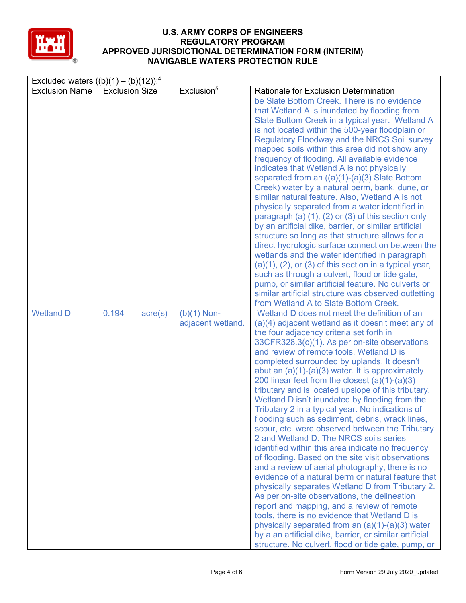

| Excluded waters $((b)(1) - (b)(12))$ : <sup>4</sup> |                       |                  |                                    |                                                                                                                                                                                                                                                                                                                                                                                                                                                                                                                                                                                                                                                                                                                                                                                                                                                                                                                                                                                                                                                                                                                                                                                                                                                                                                                |  |  |  |
|-----------------------------------------------------|-----------------------|------------------|------------------------------------|----------------------------------------------------------------------------------------------------------------------------------------------------------------------------------------------------------------------------------------------------------------------------------------------------------------------------------------------------------------------------------------------------------------------------------------------------------------------------------------------------------------------------------------------------------------------------------------------------------------------------------------------------------------------------------------------------------------------------------------------------------------------------------------------------------------------------------------------------------------------------------------------------------------------------------------------------------------------------------------------------------------------------------------------------------------------------------------------------------------------------------------------------------------------------------------------------------------------------------------------------------------------------------------------------------------|--|--|--|
| <b>Exclusion Name</b>                               | <b>Exclusion Size</b> |                  | Exclusion <sup>5</sup>             | Rationale for Exclusion Determination                                                                                                                                                                                                                                                                                                                                                                                                                                                                                                                                                                                                                                                                                                                                                                                                                                                                                                                                                                                                                                                                                                                                                                                                                                                                          |  |  |  |
|                                                     |                       |                  |                                    | be Slate Bottom Creek. There is no evidence<br>that Wetland A is inundated by flooding from<br>Slate Bottom Creek in a typical year. Wetland A<br>is not located within the 500-year floodplain or<br><b>Regulatory Floodway and the NRCS Soil survey</b><br>mapped soils within this area did not show any<br>frequency of flooding. All available evidence<br>indicates that Wetland A is not physically<br>separated from an $((a)(1)-(a)(3)$ Slate Bottom<br>Creek) water by a natural berm, bank, dune, or<br>similar natural feature. Also, Wetland A is not<br>physically separated from a water identified in<br>paragraph (a) $(1)$ , $(2)$ or $(3)$ of this section only<br>by an artificial dike, barrier, or similar artificial<br>structure so long as that structure allows for a<br>direct hydrologic surface connection between the<br>wetlands and the water identified in paragraph<br>$(a)(1)$ , $(2)$ , or $(3)$ of this section in a typical year,<br>such as through a culvert, flood or tide gate,<br>pump, or similar artificial feature. No culverts or<br>similar artificial structure was observed outletting<br>from Wetland A to Slate Bottom Creek.                                                                                                                              |  |  |  |
| <b>Wetland D</b>                                    | 0.194                 | $\text{acre}(s)$ | $(b)(1)$ Non-<br>adjacent wetland. | Wetland D does not meet the definition of an<br>(a)(4) adjacent wetland as it doesn't meet any of<br>the four adjacency criteria set forth in<br>33CFR328.3(c)(1). As per on-site observations<br>and review of remote tools, Wetland D is<br>completed surrounded by uplands. It doesn't<br>abut an $(a)(1)-(a)(3)$ water. It is approximately<br>200 linear feet from the closest $(a)(1)-(a)(3)$<br>tributary and is located upslope of this tributary.<br>Wetland D isn't inundated by flooding from the<br>Tributary 2 in a typical year. No indications of<br>flooding such as sediment, debris, wrack lines,<br>scour, etc. were observed between the Tributary<br>2 and Wetland D. The NRCS soils series<br>identified within this area indicate no frequency<br>of flooding. Based on the site visit observations<br>and a review of aerial photography, there is no<br>evidence of a natural berm or natural feature that<br>physically separates Wetland D from Tributary 2.<br>As per on-site observations, the delineation<br>report and mapping, and a review of remote<br>tools, there is no evidence that Wetland D is<br>physically separated from an $(a)(1)-(a)(3)$ water<br>by a an artificial dike, barrier, or similar artificial<br>structure. No culvert, flood or tide gate, pump, or |  |  |  |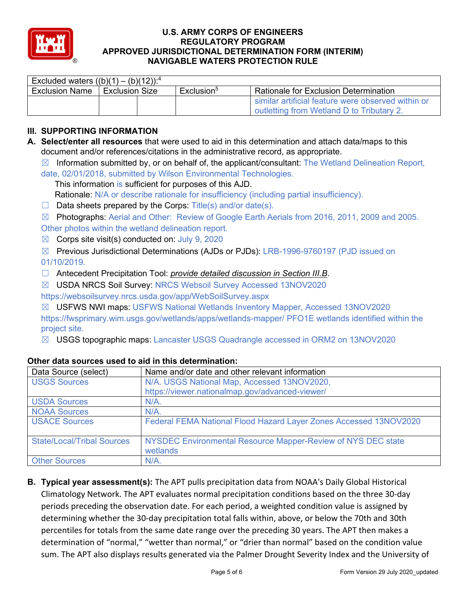

| Excluded waters $((b)(1) - (b)(12))$ : <sup>4</sup> |                |  |                        |                                                    |  |  |  |  |
|-----------------------------------------------------|----------------|--|------------------------|----------------------------------------------------|--|--|--|--|
| <b>Exclusion Name</b>                               | Exclusion Size |  | Exclusion <sup>5</sup> | <b>Rationale for Exclusion Determination</b>       |  |  |  |  |
|                                                     |                |  |                        | similar artificial feature were observed within or |  |  |  |  |
|                                                     |                |  |                        | outletting from Wetland D to Tributary 2.          |  |  |  |  |

## **III. SUPPORTING INFORMATION**

**A. Select/enter all resources** that were used to aid in this determination and attach data/maps to this document and/or references/citations in the administrative record, as appropriate.

 $\boxtimes$  Information submitted by, or on behalf of, the applicant/consultant: The Wetland Delineation Report,

date, 02/01/2018, submitted by Wilson Environmental Technologies. This information is sufficient for purposes of this AJD.

Rationale: N/A or describe rationale for insufficiency (including partial insufficiency).

- $\Box$  Data sheets prepared by the Corps: Title(s) and/or date(s).
- ☒ Photographs: Aerial and Other: Review of Google Earth Aerials from 2016, 2011, 2009 and 2005.

Other photos within the wetland delineation report.

- $\boxtimes$  Corps site visit(s) conducted on: July 9, 2020
- ☒ Previous Jurisdictional Determinations (AJDs or PJDs): LRB-1996-9760197 (PJD issued on 01/10/2019.
- ☐ Antecedent Precipitation Tool: *provide detailed discussion in Section III.B*.
- ☒ USDA NRCS Soil Survey: NRCS Websoil Survey Accessed 13NOV2020 https://websoilsurvey.nrcs.usda.gov/app/WebSoilSurvey.aspx
- ☒ USFWS NWI maps: USFWS National Wetlands Inventory Mapper, Accessed 13NOV2020

https://fwsprimary.wim.usgs.gov/wetlands/apps/wetlands-mapper/ PFO1E wetlands identified within the project site.

☒ USGS topographic maps: Lancaster USGS Quadrangle accessed in ORM2 on 13NOV2020

| Data Source (select)              | Name and/or date and other relevant information                          |
|-----------------------------------|--------------------------------------------------------------------------|
| <b>USGS Sources</b>               | N/A. USGS National Map, Accessed 13NOV2020,                              |
|                                   | https://viewer.nationalmap.gov/advanced-viewer/                          |
| <b>USDA Sources</b>               | $N/A$ .                                                                  |
| <b>NOAA Sources</b>               | $N/A$ .                                                                  |
| <b>USACE Sources</b>              | Federal FEMA National Flood Hazard Layer Zones Accessed 13NOV2020        |
| <b>State/Local/Tribal Sources</b> | NYSDEC Environmental Resource Mapper-Review of NYS DEC state<br>wetlands |
| <b>Other Sources</b>              | $N/A$ .                                                                  |

## **Other data sources used to aid in this determination:**

**B. Typical year assessment(s):** The APT pulls precipitation data from NOAA's Daily Global Historical Climatology Network. The APT evaluates normal precipitation conditions based on the three 30-day periods preceding the observation date. For each period, a weighted condition value is assigned by determining whether the 30-day precipitation total falls within, above, or below the 70th and 30th percentiles for totals from the same date range over the preceding 30 years. The APT then makes a determination of "normal," "wetter than normal," or "drier than normal" based on the condition value sum. The APT also displays results generated via the Palmer Drought Severity Index and the University of